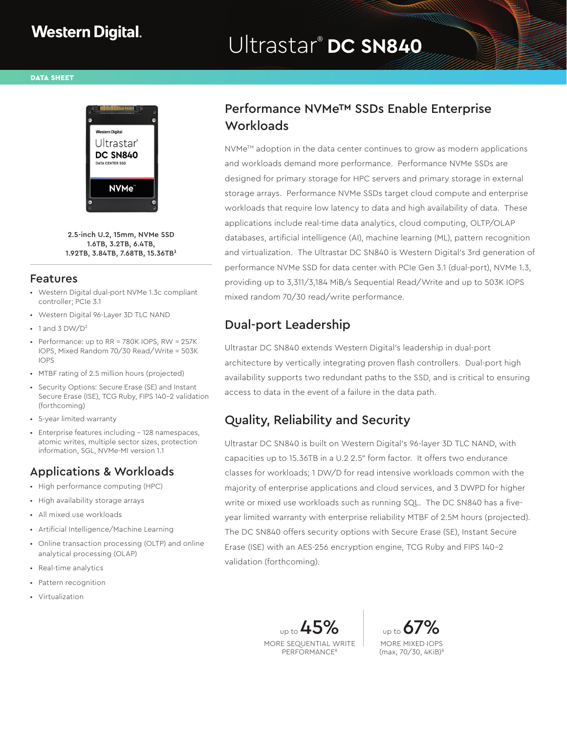# Ultrastar® **DC SN840**

DATA SHEET



2.5-inch U.2, 15mm, NVMe SSD 1.6TB, 3.2TB, 6.4TB,  $1.92$ TB, 3.84TB, 7.68TB, 15.36TB<sup>1</sup>

#### Features

- Western Digital dual-port NVMe 1.3c compliant controller; PCIe 3.1
- Western Digital 96-Layer 3D TLC NAND
- $\cdot$  1 and 3 DW/D<sup>2</sup>
- Performance: up to RR = 780K IOPS, RW = 257K IOPS, Mixed Random 70/30 Read/Write = 503K IOPS
- MTBF rating of 2.5 million hours (projected)
- Security Options: Secure Erase (SE) and Instant Secure Erase (ISE), TCG Ruby, FIPS 140-2 validation (forthcoming)
- 5-year limited warranty
- Enterprise features including 128 namespaces, atomic writes, multiple sector sizes, protection information, SGL, NVMe-MI version 1.1

#### Applications & Workloads

- High performance computing (HPC)
- High availability storage arrays
- All mixed use workloads
- Artificial Intelligence/Machine Learning
- Online transaction processing (OLTP) and online analytical processing (OLAP)
- Real-time analytics
- Pattern recognition
- Virtualization

### Performance NVMe™ SSDs Enable Enterprise **Workloads**

 $\text{NVMe}^{\text{TM}}$  adoption in the data center continues to grow as modern applications and workloads demand more performance. Performance NVMe SSDs are designed for primary storage for HPC servers and primary storage in external storage arrays. Performance NVMe SSDs target cloud compute and enterprise workloads that require low latency to data and high availability of data. These applications include real-time data analytics, cloud computing, OLTP/OLAP databases, artificial intelligence (AI), machine learning (ML), pattern recognition and virtualization. The Ultrastar DC SN840 is Western Digital's 3rd generation of performance NVMe SSD for data center with PCIe Gen 3.1 (dual-port), NVMe 1.3, providing up to 3,311/3,184 MiB/s Sequential Read/Write and up to 503K IOPS mixed random 70/30 read/write performance.

## Dual-port Leadership

Ultrastar DC SN840 extends Western Digital's leadership in dual-port architecture by vertically integrating proven flash controllers. Dual-port high availability supports two redundant paths to the SSD, and is critical to ensuring access to data in the event of a failure in the data path.

### Quality, Reliability and Security

Ultrastar DC SN840 is built on Western Digital's 96-layer 3D TLC NAND, with capacities up to 15.36TB in a U.2 2.5" form factor. It offers two endurance classes for workloads; 1 DW/D for read intensive workloads common with the majority of enterprise applications and cloud services, and 3 DWPD for higher write or mixed use workloads such as running SQL. The DC SN840 has a fiveyear limited warranty with enterprise reliability MTBF of 2.5M hours (projected). The DC SN840 offers security options with Secure Erase (SE), Instant Secure Erase (ISE) with an AES-256 encryption engine, TCG Ruby and FIPS 140-2 validation (forthcoming).

> up to  $45$ MORE SEQUENTIAL WRITE PERFORMANCE8

up to  $6$ MORE MIXED IOPS (max, 70/30, 4KiB)8